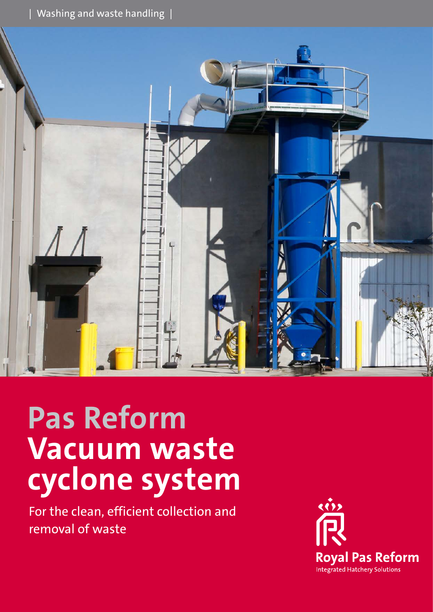$|$  Washing and waste handling  $|$ 



# **Pas Reform Vacuum waste cyclone system**

For the clean, efficient collection and removal of waste